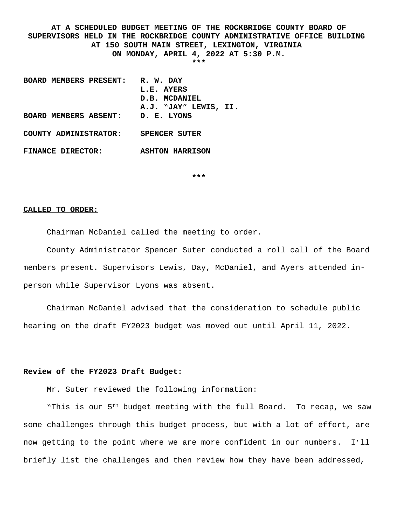**AT A SCHEDULED BUDGET MEETING OF THE ROCKBRIDGE COUNTY BOARD OF SUPERVISORS HELD IN THE ROCKBRIDGE COUNTY ADMINISTRATIVE OFFICE BUILDING AT 150 SOUTH MAIN STREET, LEXINGTON, VIRGINIA ON MONDAY, APRIL 4, 2022 AT 5:30 P.M. \*\*\***

**BOARD MEMBERS PRESENT: R. W. DAY L.E. AYERS D.B. MCDANIEL A.J. "JAY" LEWIS, II. BOARD MEMBERS ABSENT: D. E. LYONS COUNTY ADMINISTRATOR: SPENCER SUTER FINANCE DIRECTOR: ASHTON HARRISON**

**\*\*\***

#### **CALLED TO ORDER:**

Chairman McDaniel called the meeting to order.

County Administrator Spencer Suter conducted a roll call of the Board members present. Supervisors Lewis, Day, McDaniel, and Ayers attended inperson while Supervisor Lyons was absent.

Chairman McDaniel advised that the consideration to schedule public hearing on the draft FY2023 budget was moved out until April 11, 2022.

## **Review of the FY2023 Draft Budget:**

Mr. Suter reviewed the following information:

"This is our 5<sup>th</sup> budget meeting with the full Board. To recap, we saw some challenges through this budget process, but with a lot of effort, are now getting to the point where we are more confident in our numbers. I'll briefly list the challenges and then review how they have been addressed,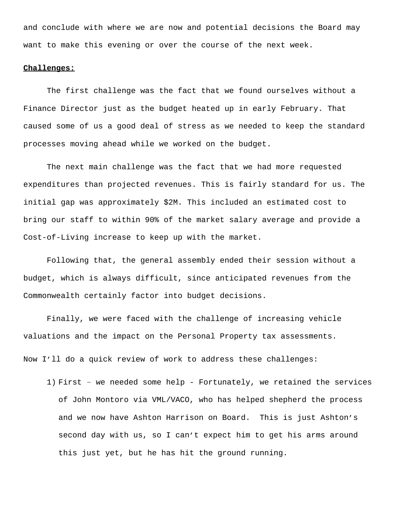and conclude with where we are now and potential decisions the Board may want to make this evening or over the course of the next week.

### **Challenges:**

The first challenge was the fact that we found ourselves without a Finance Director just as the budget heated up in early February. That caused some of us a good deal of stress as we needed to keep the standard processes moving ahead while we worked on the budget.

The next main challenge was the fact that we had more requested expenditures than projected revenues. This is fairly standard for us. The initial gap was approximately \$2M. This included an estimated cost to bring our staff to within 90% of the market salary average and provide a Cost-of-Living increase to keep up with the market.

Following that, the general assembly ended their session without a budget, which is always difficult, since anticipated revenues from the Commonwealth certainly factor into budget decisions.

Finally, we were faced with the challenge of increasing vehicle valuations and the impact on the Personal Property tax assessments. Now I'll do a quick review of work to address these challenges:

1) First – we needed some help - Fortunately, we retained the services of John Montoro via VML/VACO, who has helped shepherd the process and we now have Ashton Harrison on Board. This is just Ashton's second day with us, so I can't expect him to get his arms around this just yet, but he has hit the ground running.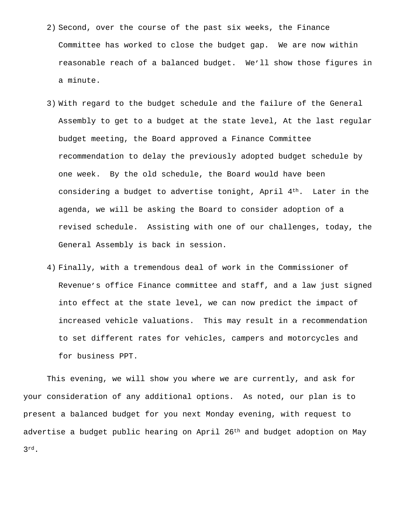- 2) Second, over the course of the past six weeks, the Finance Committee has worked to close the budget gap. We are now within reasonable reach of a balanced budget. We'll show those figures in a minute.
- 3) With regard to the budget schedule and the failure of the General Assembly to get to a budget at the state level, At the last regular budget meeting, the Board approved a Finance Committee recommendation to delay the previously adopted budget schedule by one week. By the old schedule, the Board would have been considering a budget to advertise tonight, April  $4<sup>th</sup>$ . Later in the agenda, we will be asking the Board to consider adoption of a revised schedule. Assisting with one of our challenges, today, the General Assembly is back in session.
- 4) Finally, with a tremendous deal of work in the Commissioner of Revenue's office Finance committee and staff, and a law just signed into effect at the state level, we can now predict the impact of increased vehicle valuations. This may result in a recommendation to set different rates for vehicles, campers and motorcycles and for business PPT.

This evening, we will show you where we are currently, and ask for your consideration of any additional options. As noted, our plan is to present a balanced budget for you next Monday evening, with request to advertise a budget public hearing on April 26<sup>th</sup> and budget adoption on May 3rd.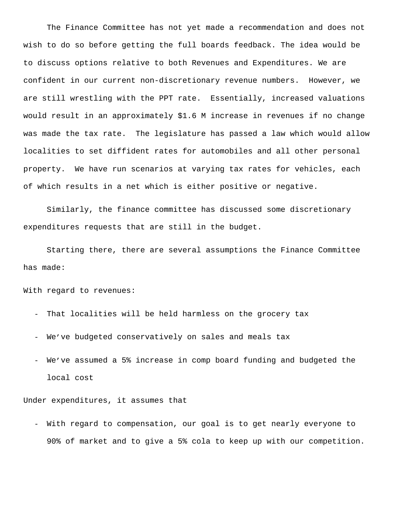The Finance Committee has not yet made a recommendation and does not wish to do so before getting the full boards feedback. The idea would be to discuss options relative to both Revenues and Expenditures. We are confident in our current non-discretionary revenue numbers. However, we are still wrestling with the PPT rate. Essentially, increased valuations would result in an approximately \$1.6 M increase in revenues if no change was made the tax rate. The legislature has passed a law which would allow localities to set diffident rates for automobiles and all other personal property. We have run scenarios at varying tax rates for vehicles, each of which results in a net which is either positive or negative.

Similarly, the finance committee has discussed some discretionary expenditures requests that are still in the budget.

Starting there, there are several assumptions the Finance Committee has made:

With regard to revenues:

- That localities will be held harmless on the grocery tax
- We've budgeted conservatively on sales and meals tax
- We've assumed a 5% increase in comp board funding and budgeted the local cost

Under expenditures, it assumes that

- With regard to compensation, our goal is to get nearly everyone to 90% of market and to give a 5% cola to keep up with our competition.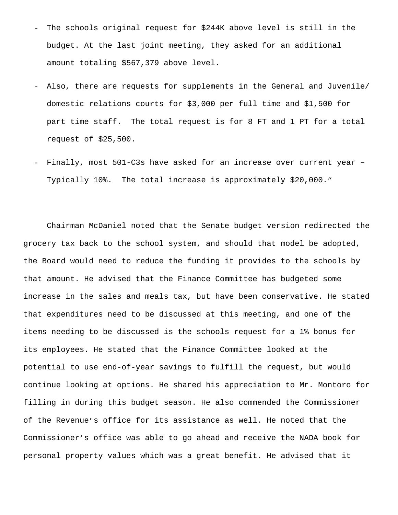- The schools original request for \$244K above level is still in the budget. At the last joint meeting, they asked for an additional amount totaling \$567,379 above level.
- Also, there are requests for supplements in the General and Juvenile/ domestic relations courts for \$3,000 per full time and \$1,500 for part time staff. The total request is for 8 FT and 1 PT for a total request of \$25,500.
- Finally, most 501-C3s have asked for an increase over current year Typically 10%. The total increase is approximately \$20,000."

Chairman McDaniel noted that the Senate budget version redirected the grocery tax back to the school system, and should that model be adopted, the Board would need to reduce the funding it provides to the schools by that amount. He advised that the Finance Committee has budgeted some increase in the sales and meals tax, but have been conservative. He stated that expenditures need to be discussed at this meeting, and one of the items needing to be discussed is the schools request for a 1% bonus for its employees. He stated that the Finance Committee looked at the potential to use end-of-year savings to fulfill the request, but would continue looking at options. He shared his appreciation to Mr. Montoro for filling in during this budget season. He also commended the Commissioner of the Revenue's office for its assistance as well. He noted that the Commissioner's office was able to go ahead and receive the NADA book for personal property values which was a great benefit. He advised that it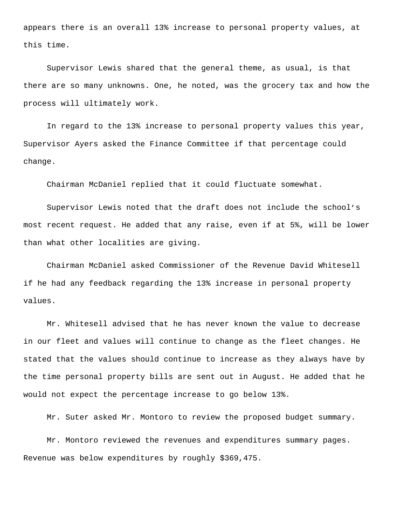appears there is an overall 13% increase to personal property values, at this time.

Supervisor Lewis shared that the general theme, as usual, is that there are so many unknowns. One, he noted, was the grocery tax and how the process will ultimately work.

In regard to the 13% increase to personal property values this year, Supervisor Ayers asked the Finance Committee if that percentage could change.

Chairman McDaniel replied that it could fluctuate somewhat.

Supervisor Lewis noted that the draft does not include the school's most recent request. He added that any raise, even if at 5%, will be lower than what other localities are giving.

Chairman McDaniel asked Commissioner of the Revenue David Whitesell if he had any feedback regarding the 13% increase in personal property values.

Mr. Whitesell advised that he has never known the value to decrease in our fleet and values will continue to change as the fleet changes. He stated that the values should continue to increase as they always have by the time personal property bills are sent out in August. He added that he would not expect the percentage increase to go below 13%.

Mr. Suter asked Mr. Montoro to review the proposed budget summary.

Mr. Montoro reviewed the revenues and expenditures summary pages. Revenue was below expenditures by roughly \$369,475.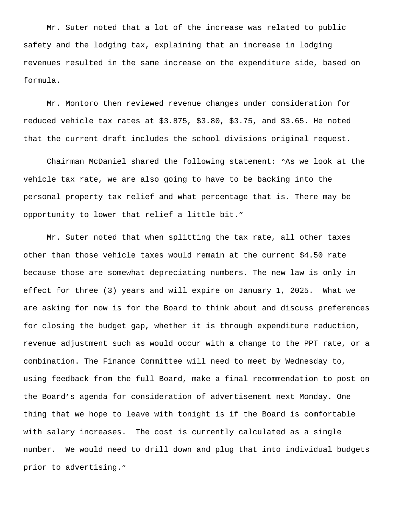Mr. Suter noted that a lot of the increase was related to public safety and the lodging tax, explaining that an increase in lodging revenues resulted in the same increase on the expenditure side, based on formula.

Mr. Montoro then reviewed revenue changes under consideration for reduced vehicle tax rates at \$3.875, \$3.80, \$3.75, and \$3.65. He noted that the current draft includes the school divisions original request.

Chairman McDaniel shared the following statement: "As we look at the vehicle tax rate, we are also going to have to be backing into the personal property tax relief and what percentage that is. There may be opportunity to lower that relief a little bit."

Mr. Suter noted that when splitting the tax rate, all other taxes other than those vehicle taxes would remain at the current \$4.50 rate because those are somewhat depreciating numbers. The new law is only in effect for three (3) years and will expire on January 1, 2025. What we are asking for now is for the Board to think about and discuss preferences for closing the budget gap, whether it is through expenditure reduction, revenue adjustment such as would occur with a change to the PPT rate, or a combination. The Finance Committee will need to meet by Wednesday to, using feedback from the full Board, make a final recommendation to post on the Board's agenda for consideration of advertisement next Monday. One thing that we hope to leave with tonight is if the Board is comfortable with salary increases. The cost is currently calculated as a single number. We would need to drill down and plug that into individual budgets prior to advertising."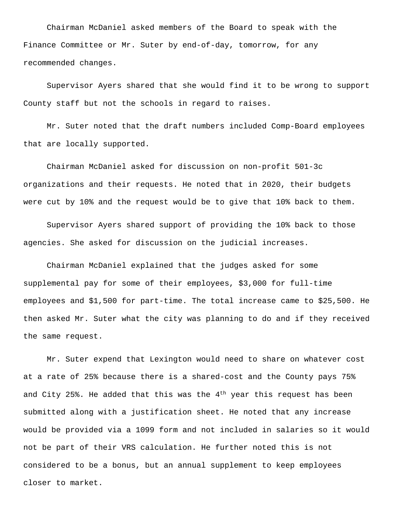Chairman McDaniel asked members of the Board to speak with the Finance Committee or Mr. Suter by end-of-day, tomorrow, for any recommended changes.

Supervisor Ayers shared that she would find it to be wrong to support County staff but not the schools in regard to raises.

Mr. Suter noted that the draft numbers included Comp-Board employees that are locally supported.

Chairman McDaniel asked for discussion on non-profit 501-3c organizations and their requests. He noted that in 2020, their budgets were cut by 10% and the request would be to give that 10% back to them.

Supervisor Ayers shared support of providing the 10% back to those agencies. She asked for discussion on the judicial increases.

Chairman McDaniel explained that the judges asked for some supplemental pay for some of their employees, \$3,000 for full-time employees and \$1,500 for part-time. The total increase came to \$25,500. He then asked Mr. Suter what the city was planning to do and if they received the same request.

Mr. Suter expend that Lexington would need to share on whatever cost at a rate of 25% because there is a shared-cost and the County pays 75% and City 25%. He added that this was the  $4<sup>th</sup>$  year this request has been submitted along with a justification sheet. He noted that any increase would be provided via a 1099 form and not included in salaries so it would not be part of their VRS calculation. He further noted this is not considered to be a bonus, but an annual supplement to keep employees closer to market.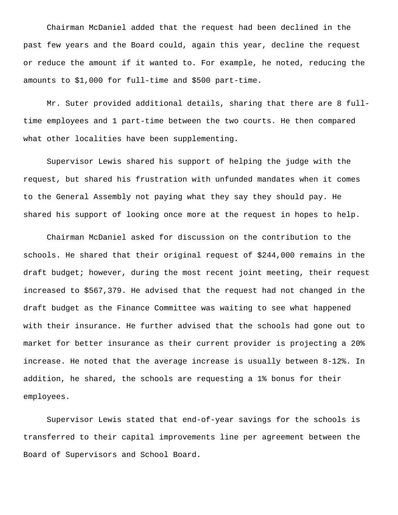Chairman McDaniel added that the request had been declined in the past few years and the Board could, again this year, decline the request or reduce the amount if it wanted to. For example, he noted, reducing the amounts to \$1,000 for full-time and \$500 part-time.

Mr. Suter provided additional details, sharing that there are 8 fulltime employees and 1 part-time between the two courts. He then compared what other localities have been supplementing.

Supervisor Lewis shared his support of helping the judge with the request, but shared his frustration with unfunded mandates when it comes to the General Assembly not paying what they say they should pay. He shared his support of looking once more at the request in hopes to help.

Chairman McDaniel asked for discussion on the contribution to the schools. He shared that their original request of \$244,000 remains in the draft budget; however, during the most recent joint meeting, their request increased to \$567,379. He advised that the request had not changed in the draft budget as the Finance Committee was waiting to see what happened with their insurance. He further advised that the schools had gone out to market for better insurance as their current provider is projecting a 20% increase. He noted that the average increase is usually between 8-12%. In addition, he shared, the schools are requesting a 1% bonus for their employees.

Supervisor Lewis stated that end-of-year savings for the schools is transferred to their capital improvements line per agreement between the Board of Supervisors and School Board.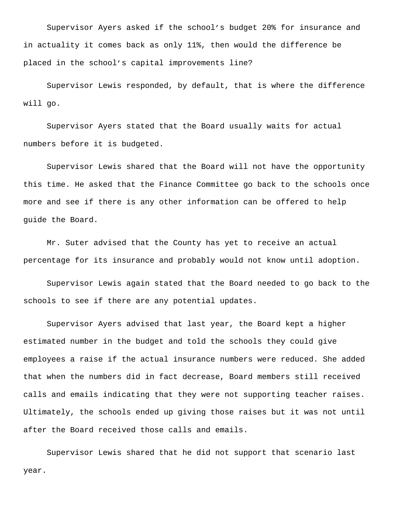Supervisor Ayers asked if the school's budget 20% for insurance and in actuality it comes back as only 11%, then would the difference be placed in the school's capital improvements line?

Supervisor Lewis responded, by default, that is where the difference will go.

Supervisor Ayers stated that the Board usually waits for actual numbers before it is budgeted.

Supervisor Lewis shared that the Board will not have the opportunity this time. He asked that the Finance Committee go back to the schools once more and see if there is any other information can be offered to help guide the Board.

Mr. Suter advised that the County has yet to receive an actual percentage for its insurance and probably would not know until adoption.

Supervisor Lewis again stated that the Board needed to go back to the schools to see if there are any potential updates.

Supervisor Ayers advised that last year, the Board kept a higher estimated number in the budget and told the schools they could give employees a raise if the actual insurance numbers were reduced. She added that when the numbers did in fact decrease, Board members still received calls and emails indicating that they were not supporting teacher raises. Ultimately, the schools ended up giving those raises but it was not until after the Board received those calls and emails.

Supervisor Lewis shared that he did not support that scenario last year.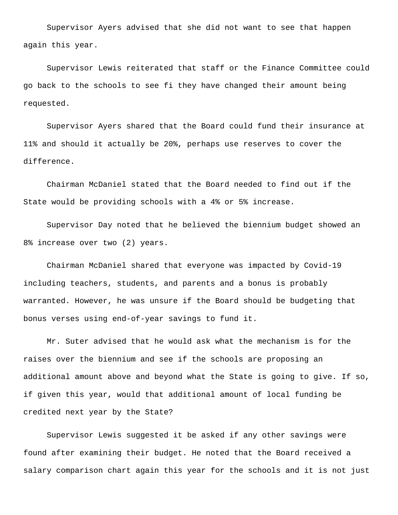Supervisor Ayers advised that she did not want to see that happen again this year.

Supervisor Lewis reiterated that staff or the Finance Committee could go back to the schools to see fi they have changed their amount being requested.

Supervisor Ayers shared that the Board could fund their insurance at 11% and should it actually be 20%, perhaps use reserves to cover the difference.

Chairman McDaniel stated that the Board needed to find out if the State would be providing schools with a 4% or 5% increase.

Supervisor Day noted that he believed the biennium budget showed an 8% increase over two (2) years.

Chairman McDaniel shared that everyone was impacted by Covid-19 including teachers, students, and parents and a bonus is probably warranted. However, he was unsure if the Board should be budgeting that bonus verses using end-of-year savings to fund it.

Mr. Suter advised that he would ask what the mechanism is for the raises over the biennium and see if the schools are proposing an additional amount above and beyond what the State is going to give. If so, if given this year, would that additional amount of local funding be credited next year by the State?

Supervisor Lewis suggested it be asked if any other savings were found after examining their budget. He noted that the Board received a salary comparison chart again this year for the schools and it is not just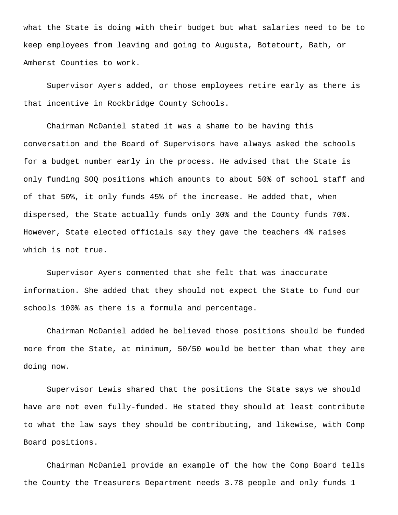what the State is doing with their budget but what salaries need to be to keep employees from leaving and going to Augusta, Botetourt, Bath, or Amherst Counties to work.

Supervisor Ayers added, or those employees retire early as there is that incentive in Rockbridge County Schools.

Chairman McDaniel stated it was a shame to be having this conversation and the Board of Supervisors have always asked the schools for a budget number early in the process. He advised that the State is only funding SOQ positions which amounts to about 50% of school staff and of that 50%, it only funds 45% of the increase. He added that, when dispersed, the State actually funds only 30% and the County funds 70%. However, State elected officials say they gave the teachers 4% raises which is not true.

Supervisor Ayers commented that she felt that was inaccurate information. She added that they should not expect the State to fund our schools 100% as there is a formula and percentage.

Chairman McDaniel added he believed those positions should be funded more from the State, at minimum, 50/50 would be better than what they are doing now.

Supervisor Lewis shared that the positions the State says we should have are not even fully-funded. He stated they should at least contribute to what the law says they should be contributing, and likewise, with Comp Board positions.

Chairman McDaniel provide an example of the how the Comp Board tells the County the Treasurers Department needs 3.78 people and only funds 1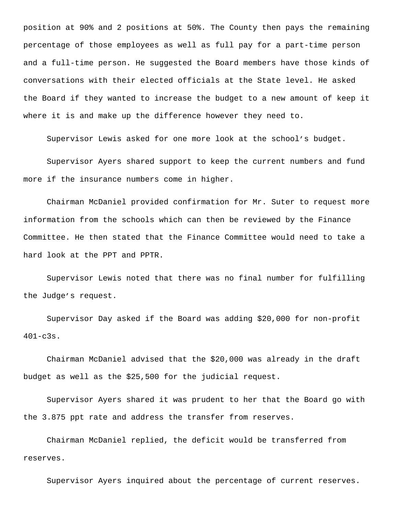position at 90% and 2 positions at 50%. The County then pays the remaining percentage of those employees as well as full pay for a part-time person and a full-time person. He suggested the Board members have those kinds of conversations with their elected officials at the State level. He asked the Board if they wanted to increase the budget to a new amount of keep it where it is and make up the difference however they need to.

Supervisor Lewis asked for one more look at the school's budget.

Supervisor Ayers shared support to keep the current numbers and fund more if the insurance numbers come in higher.

Chairman McDaniel provided confirmation for Mr. Suter to request more information from the schools which can then be reviewed by the Finance Committee. He then stated that the Finance Committee would need to take a hard look at the PPT and PPTR.

Supervisor Lewis noted that there was no final number for fulfilling the Judge's request.

Supervisor Day asked if the Board was adding \$20,000 for non-profit 401-c3s.

Chairman McDaniel advised that the \$20,000 was already in the draft budget as well as the \$25,500 for the judicial request.

Supervisor Ayers shared it was prudent to her that the Board go with the 3.875 ppt rate and address the transfer from reserves.

Chairman McDaniel replied, the deficit would be transferred from reserves.

Supervisor Ayers inquired about the percentage of current reserves.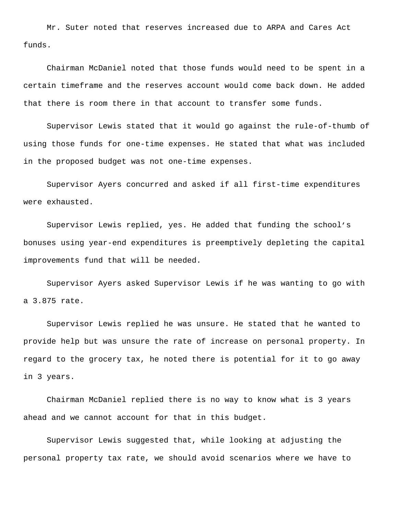Mr. Suter noted that reserves increased due to ARPA and Cares Act funds.

Chairman McDaniel noted that those funds would need to be spent in a certain timeframe and the reserves account would come back down. He added that there is room there in that account to transfer some funds.

Supervisor Lewis stated that it would go against the rule-of-thumb of using those funds for one-time expenses. He stated that what was included in the proposed budget was not one-time expenses.

Supervisor Ayers concurred and asked if all first-time expenditures were exhausted.

Supervisor Lewis replied, yes. He added that funding the school's bonuses using year-end expenditures is preemptively depleting the capital improvements fund that will be needed.

Supervisor Ayers asked Supervisor Lewis if he was wanting to go with a 3.875 rate.

Supervisor Lewis replied he was unsure. He stated that he wanted to provide help but was unsure the rate of increase on personal property. In regard to the grocery tax, he noted there is potential for it to go away in 3 years.

Chairman McDaniel replied there is no way to know what is 3 years ahead and we cannot account for that in this budget.

Supervisor Lewis suggested that, while looking at adjusting the personal property tax rate, we should avoid scenarios where we have to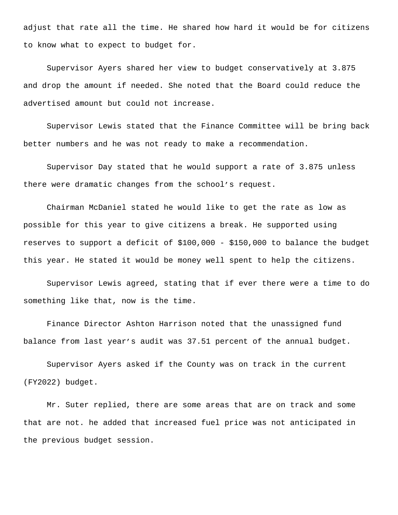adjust that rate all the time. He shared how hard it would be for citizens to know what to expect to budget for.

Supervisor Ayers shared her view to budget conservatively at 3.875 and drop the amount if needed. She noted that the Board could reduce the advertised amount but could not increase.

Supervisor Lewis stated that the Finance Committee will be bring back better numbers and he was not ready to make a recommendation.

Supervisor Day stated that he would support a rate of 3.875 unless there were dramatic changes from the school's request.

Chairman McDaniel stated he would like to get the rate as low as possible for this year to give citizens a break. He supported using reserves to support a deficit of \$100,000 - \$150,000 to balance the budget this year. He stated it would be money well spent to help the citizens.

Supervisor Lewis agreed, stating that if ever there were a time to do something like that, now is the time.

Finance Director Ashton Harrison noted that the unassigned fund balance from last year's audit was 37.51 percent of the annual budget.

Supervisor Ayers asked if the County was on track in the current (FY2022) budget.

Mr. Suter replied, there are some areas that are on track and some that are not. he added that increased fuel price was not anticipated in the previous budget session.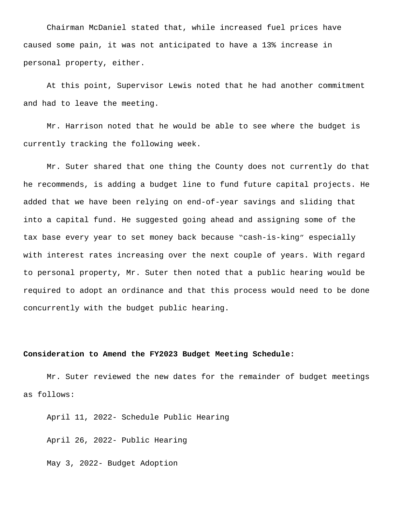Chairman McDaniel stated that, while increased fuel prices have caused some pain, it was not anticipated to have a 13% increase in personal property, either.

At this point, Supervisor Lewis noted that he had another commitment and had to leave the meeting.

Mr. Harrison noted that he would be able to see where the budget is currently tracking the following week.

Mr. Suter shared that one thing the County does not currently do that he recommends, is adding a budget line to fund future capital projects. He added that we have been relying on end-of-year savings and sliding that into a capital fund. He suggested going ahead and assigning some of the tax base every year to set money back because "cash-is-king" especially with interest rates increasing over the next couple of years. With regard to personal property, Mr. Suter then noted that a public hearing would be required to adopt an ordinance and that this process would need to be done concurrently with the budget public hearing.

## **Consideration to Amend the FY2023 Budget Meeting Schedule:**

Mr. Suter reviewed the new dates for the remainder of budget meetings as follows:

April 11, 2022- Schedule Public Hearing

April 26, 2022- Public Hearing

May 3, 2022- Budget Adoption